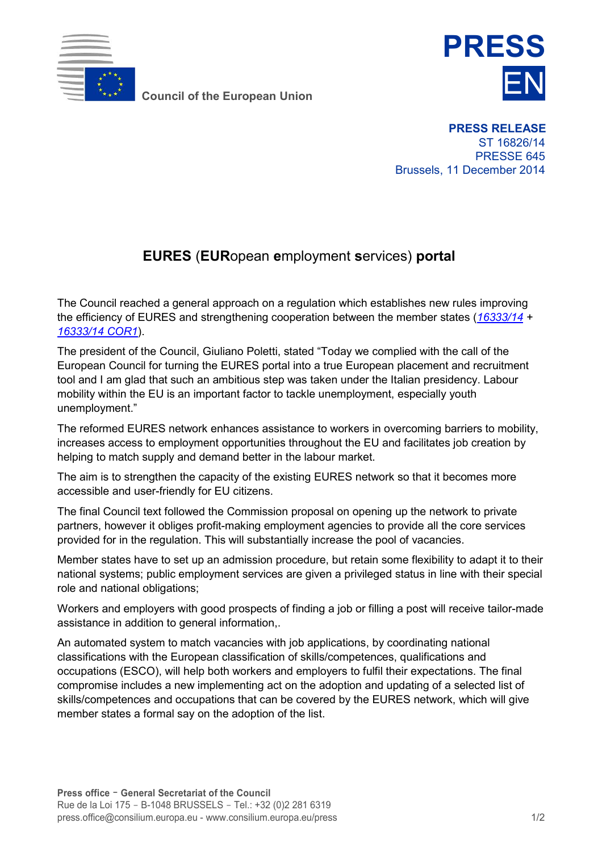

**Council of the European Union** 



**PRESS RELEASE** ST 16826/14 PRESSE 645 Brussels, 11 December 2014

## **EURES** (**EUR**opean **e**mployment **s**ervices) **portal**

The Council reached a general approach on a regulation which establishes new rules improving the efficiency of EURES and strengthening cooperation between the member states (*[16333/14](http://register.consilium.europa.eu/pdf/en/14/st16/st16333.en14.pdf) + [16333/14 COR1](http://register.consilium.europa.eu/pdf/en/14/st16/st16333-co01.en14.pdf)*).

The president of the Council, Giuliano Poletti, stated "Today we complied with the call of the European Council for turning the EURES portal into a true European placement and recruitment tool and I am glad that such an ambitious step was taken under the Italian presidency. Labour mobility within the EU is an important factor to tackle unemployment, especially youth unemployment."

The reformed EURES network enhances assistance to workers in overcoming barriers to mobility, increases access to employment opportunities throughout the EU and facilitates job creation by helping to match supply and demand better in the labour market.

The aim is to strengthen the capacity of the existing EURES network so that it becomes more accessible and user-friendly for EU citizens.

The final Council text followed the Commission proposal on opening up the network to private partners, however it obliges profit-making employment agencies to provide all the core services provided for in the regulation. This will substantially increase the pool of vacancies.

Member states have to set up an admission procedure, but retain some flexibility to adapt it to their national systems; public employment services are given a privileged status in line with their special role and national obligations;

Workers and employers with good prospects of finding a job or filling a post will receive tailor-made assistance in addition to general information,.

An automated system to match vacancies with job applications, by coordinating national classifications with the European classification of skills/competences, qualifications and occupations (ESCO), will help both workers and employers to fulfil their expectations. The final compromise includes a new implementing act on the adoption and updating of a selected list of skills/competences and occupations that can be covered by the EURES network, which will give member states a formal say on the adoption of the list.